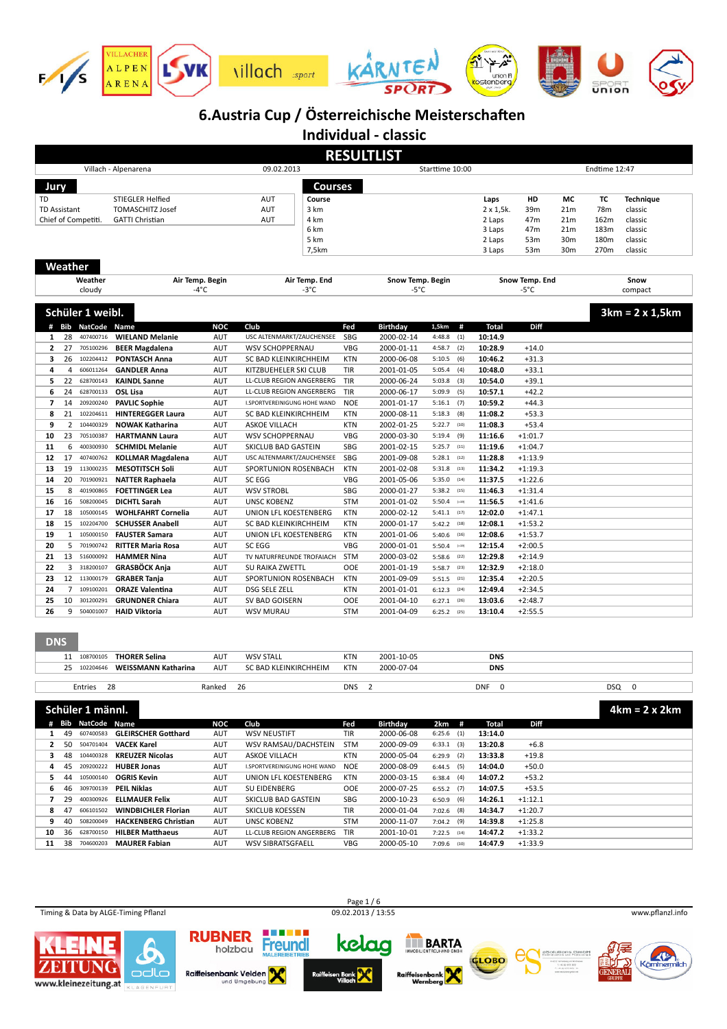

|                           |                |                                 |                                                        |                   |                                   |               | <b>RESULTLIST</b>             |                             |                            |                |                       |           |                             |
|---------------------------|----------------|---------------------------------|--------------------------------------------------------|-------------------|-----------------------------------|---------------|-------------------------------|-----------------------------|----------------------------|----------------|-----------------------|-----------|-----------------------------|
|                           |                |                                 | Villach - Alpenarena                                   |                   | 09.02.2013                        | Endtime 12:47 |                               |                             |                            |                |                       |           |                             |
| Jury                      |                |                                 |                                                        |                   | Courses                           |               |                               |                             |                            |                |                       |           |                             |
|                           |                |                                 |                                                        |                   |                                   |               |                               |                             |                            |                |                       |           |                             |
| TD<br><b>TD Assistant</b> |                |                                 | STIEGLER Helfied<br><b>TOMASCHITZ Josef</b>            |                   | AUT<br>Course<br>AUT<br>3 km      |               |                               |                             | Laps<br>$2 \times 1,5k.$   | HD<br>39m      | МC<br>21 <sub>m</sub> | TC<br>78m | <b>Technique</b><br>classic |
|                           |                | Chief of Competiti.             | <b>GATTI Christian</b>                                 |                   | AUT<br>4 km                       |               |                               |                             | 2 Laps                     | 47m            | 21 <sub>m</sub>       | 162m      | classic                     |
|                           |                |                                 |                                                        |                   | 6 km                              |               |                               |                             | 3 Laps                     | 47m            | 21 <sub>m</sub>       | 183m      | classic                     |
|                           |                |                                 |                                                        |                   | 5 km                              |               |                               |                             | 2 Laps                     | 53m            | 30 <sub>m</sub>       | 180m      | classic                     |
|                           |                |                                 |                                                        |                   | 7,5km                             |               |                               |                             | 3 Laps                     | 53m            | 30 <sub>m</sub>       | 270m      | classic                     |
|                           |                |                                 |                                                        |                   |                                   |               |                               |                             |                            |                |                       |           |                             |
|                           | Weather        |                                 |                                                        |                   |                                   |               |                               |                             |                            |                |                       |           |                             |
|                           |                | Weather                         | Air Temp. Begin                                        |                   | Air Temp. End                     |               | Snow Temp. Begin              |                             |                            | Snow Temp. End |                       |           | Snow                        |
|                           |                | cloudy                          | -4°C                                                   |                   | $-3^{\circ}$ C                    |               | -5°C                          |                             |                            | -5°C           |                       |           | compact                     |
|                           |                | Schüler 1 weibl.                |                                                        |                   |                                   |               |                               |                             |                            |                |                       |           | $3km = 2 \times 1,5km$      |
|                           |                |                                 |                                                        |                   |                                   |               |                               |                             |                            |                |                       |           |                             |
| 1                         | 28             | # Bib NatCode Name<br>407400716 | <b>WIELAND Melanie</b>                                 | <b>NOC</b><br>AUT | Club<br>USC ALTENMARKT/ZAUCHENSEE | Fed<br>SBG    | <b>Birthday</b><br>2000-02-14 | 1,5km<br>#<br>4:48.8<br>(1) | <b>Total</b><br>10:14.9    | Diff           |                       |           |                             |
| 2                         |                | 27 705100296                    | <b>BEER Magdalena</b>                                  | AUT               | <b>WSV SCHOPPERNAU</b>            | VBG           | 2000-01-11                    | 4:58.7<br>(2)               | 10:28.9                    | $+14.0$        |                       |           |                             |
| з                         | 26             | 102204412                       | <b>PONTASCH Anna</b>                                   | AUT               | SC BAD KLEINKIRCHHEIM             | <b>KTN</b>    | 2000-06-08                    | 5:10.5<br>(6)               | 10:46.2                    | $+31.3$        |                       |           |                             |
| 4                         | $\overline{4}$ | 606011264                       | <b>GANDLER Anna</b>                                    | AUT               | KITZBUEHELER SKI CLUB             | TIR           | 2001-01-05                    | 5:05.4<br>(4)               | 10:48.0                    | $+33.1$        |                       |           |                             |
| 5                         | 22             | 628700143                       | <b>KAINDL Sanne</b>                                    | AUT               | LL-CLUB REGION ANGERBERG          | TIR           | 2000-06-24                    | 5:03.8<br>(3)               | 10:54.0                    | $+39.1$        |                       |           |                             |
| 6                         | 24             | 628700133                       | <b>OSL Lisa</b>                                        | AUT               | LL-CLUB REGION ANGERBERG          | TIR           | 2000-06-17                    | 5:09.9<br>(5)               | 10:57.1                    | $+42.2$        |                       |           |                             |
| $\overline{7}$            |                | 14 209200240                    | <b>PAVLIC Sophie</b>                                   | AUT               | I.SPORTVEREINIGUNG HOHE WAND      | <b>NOE</b>    | 2001-01-17                    | 5:16.1<br>(7)               | 10:59.2                    | $+44.3$        |                       |           |                             |
| 8                         |                | 21 102204611                    | <b>HINTEREGGER Laura</b>                               | AUT               | SC BAD KLEINKIRCHHEIM             | KTN           | 2000-08-11                    | 5:18.3<br>(8)               | 11:08.2                    | $+53.3$        |                       |           |                             |
| 9                         |                | 2 104400329                     | <b>NOWAK Katharina</b>                                 | AUT               | ASKOE VILLACH                     | <b>KTN</b>    | 2002-01-25                    | 5:22.7<br>(10)              | 11:08.3                    | $+53.4$        |                       |           |                             |
| 10                        | 23             | 705100387                       | <b>HARTMANN Laura</b>                                  | AUT               | <b>WSV SCHOPPERNAU</b>            | VBG           | 2000-03-30                    | 5:19.4<br>(9)               | 11:16.6                    | $+1:01.7$      |                       |           |                             |
| 11                        | 6              | 400300930                       | <b>SCHMIDL Melanie</b>                                 | AUT               | SKICLUB BAD GASTEIN               | SBG           | 2001-02-15                    | 5:25.7<br>(11)              | 11:19.6                    | $+1:04.7$      |                       |           |                             |
| 12                        | 17             | 407400762                       | <b>KOLLMAR Magdalena</b>                               | AUT               | USC ALTENMARKT/ZAUCHENSEE         | SBG           | 2001-09-08                    | 5:28.1<br>(12)              | 11:28.8                    | $+1:13.9$      |                       |           |                             |
| 13                        | 19             | 113000235                       | <b>MESOTITSCH Soli</b>                                 | AUT               | SPORTUNION ROSENBACH              | <b>KTN</b>    | 2001-02-08                    | 5:31.8<br>(13)              | 11:34.2                    | $+1:19.3$      |                       |           |                             |
| 14                        | 20             | 701900921                       | <b>NATTER Raphaela</b>                                 | AUT               | SC EGG                            | <b>VBG</b>    | 2001-05-06                    | 5:35.0<br>(14)              | 11:37.5                    | $+1:22.6$      |                       |           |                             |
| 15                        | 8              | 401900865                       | <b>FOETTINGER Lea</b>                                  | AUT               | <b>WSV STROBL</b>                 | SBG           | 2000-01-27                    | 5:38.2<br>(15)              | 11:46.3                    | $+1:31.4$      |                       |           |                             |
| 16                        | 16             | 508200045                       | <b>DICHTL Sarah</b>                                    | AUT               | <b>UNSC KOBENZ</b>                | <b>STM</b>    | 2001-01-02                    | 5:50.4<br>$(-19)$           | 11:56.5                    | $+1:41.6$      |                       |           |                             |
| 17                        |                | 18 105000145                    | <b>WOHLFAHRT Cornelia</b>                              | AUT               | UNION LFL KOESTENBERG             | <b>KTN</b>    | 2000-02-12                    | $5:41.1$ (17)               | 12:02.0                    | $+1:47.1$      |                       |           |                             |
| 18                        |                | 15 102204700                    | <b>SCHUSSER Anabell</b>                                | AUT               | SC BAD KLEINKIRCHHEIM             | <b>KTN</b>    | 2000-01-17                    | $5:42.2$ (18)               | 12:08.1                    | $+1:53.2$      |                       |           |                             |
| 19                        |                | 1 105000150                     | <b>FAUSTER Samara</b>                                  | AUT               | UNION LFL KOESTENBERG             | <b>KTN</b>    | 2001-01-06                    | $5:40.6$ (16)               | 12:08.6                    | $+1:53.7$      |                       |           |                             |
| 20                        |                | 5 701900742                     | <b>RITTER Maria Rosa</b>                               | AUT               | SC EGG                            | <b>VBG</b>    | 2000-01-01                    | $5:50.4$ (-19)              | 12:15.4                    | $+2:00.5$      |                       |           |                             |
| 21                        | 13             | 516000092                       | <b>HAMMER Nina</b>                                     | AUT               | TV NATURFREUNDE TROFAIACH         | STM           | 2000-03-02                    | $5:58.6$ (22)               | 12:29.8                    | $+2:14.9$      |                       |           |                             |
| 22                        |                | 3 318200107                     | <b>GRASBÖCK Anja</b>                                   | AUT               | SU RAIKA ZWETTL                   | OOE           | 2001-01-19                    | $5:58.7$ (23)               | 12:32.9                    | $+2:18.0$      |                       |           |                             |
| 23                        |                | 12 113000179                    | <b>GRABER Tanja</b>                                    | AUT               | SPORTUNION ROSENBACH              | <b>KTN</b>    | 2001-09-09                    | $5:51.5$ (21)               | 12:35.4                    | $+2:20.5$      |                       |           |                             |
| 24                        |                | 7 109100201                     | <b>ORAZE Valentina</b>                                 | AUT               | <b>DSG SELE ZELL</b>              | <b>KTN</b>    | 2001-01-01                    | 6:12.3<br>(24)              | 12:49.4                    | $+2:34.5$      |                       |           |                             |
| 25                        | 10             | 301200291                       | <b>GRUNDNER Chiara</b>                                 | AUT               | SV BAD GOISERN                    | OOE           | 2001-04-10                    | 6:27.1<br>(26)              | 13:03.6                    | $+2:48.7$      |                       |           |                             |
| 26                        | 9              | 504001007                       | <b>HAID Viktoria</b>                                   | AUT               | <b>WSV MURAU</b>                  | <b>STM</b>    | 2001-04-09                    | $6:25.2$ (25)               | 13:10.4                    | $+2:55.5$      |                       |           |                             |
|                           |                |                                 |                                                        |                   |                                   |               |                               |                             |                            |                |                       |           |                             |
| <b>DNS</b>                |                |                                 |                                                        |                   |                                   |               |                               |                             |                            |                |                       |           |                             |
|                           |                | 11 108700105                    | <b>THORER Selina</b>                                   | AUT               | <b>WSV STALL</b>                  | <b>KTN</b>    | 2001-10-05                    |                             | <b>DNS</b>                 |                |                       |           |                             |
|                           | 25             | 102204646                       | <b>WEISSMANN Katharina</b>                             | AUT               | SC BAD KLEINKIRCHHEIM             | <b>KTN</b>    | 2000-07-04                    |                             | <b>DNS</b>                 |                |                       |           |                             |
|                           |                |                                 |                                                        |                   |                                   |               |                               |                             |                            |                |                       |           |                             |
|                           |                | 28<br>Entries                   |                                                        | Ranked            | 26                                | <b>DNS</b>    | $\overline{2}$                |                             | <b>DNF</b><br>$\mathbf{0}$ |                |                       | DSQ       | $\mathbf 0$                 |
|                           |                |                                 |                                                        |                   |                                   |               |                               |                             |                            |                |                       |           |                             |
|                           |                | Schüler 1 männl.                |                                                        |                   |                                   |               |                               |                             |                            |                |                       |           | $4km = 2x 2km$              |
|                           |                | # Bib NatCode Name              |                                                        | <b>NOC</b>        | Club                              | Fed           | <b>Birthday</b>               | 2km<br>#                    | <b>Total</b>               | Diff           |                       |           |                             |
| $\mathbf{1}$              | 49             | 607400583                       | <b>GLEIRSCHER Gotthard</b>                             | AUT               | <b>WSV NEUSTIFT</b>               | TIR           | 2000-06-08                    | $6:25.6$ (1)                | 13:14.0                    |                |                       |           |                             |
| 2                         | 50             | 504701404                       | <b>VACEK Karel</b>                                     | AUT               | WSV RAMSAU/DACHSTEIN              | <b>STM</b>    | 2000-09-09                    | $6:33.1$ (3)                | 13:20.8                    | $+6.8$         |                       |           |                             |
| 3                         | 48             | 104400328                       | <b>KREUZER Nicolas</b>                                 | AUT               | ASKOE VILLACH                     | <b>KTN</b>    | 2000-05-04                    | $6:29.9$ (2)                | 13:33.8                    | $+19.8$        |                       |           |                             |
| 4                         |                | 45 209200222                    | <b>HUBER Jonas</b>                                     | AUT               | I.SPORTVEREINIGUNG HOHE WAND      | <b>NOE</b>    | 2000-08-09                    | $6:44.5$ (5)                | 14:04.0                    | $+50.0$        |                       |           |                             |
| 5.                        | 44             | 105000140                       | <b>OGRIS Kevin</b>                                     | AUT               | UNION LFL KOESTENBERG             | KTN           | 2000-03-15                    | $6:38.4$ (4)                | 14:07.2                    | $+53.2$        |                       |           |                             |
| 6                         | 46             | 309700139                       | <b>PEIL Niklas</b>                                     | AUT               | SU EIDENBERG                      | OOE           | 2000-07-25                    | 6:55.2<br>(7)               | 14:07.5                    | $+53.5$        |                       |           |                             |
| 7                         | 29             | 400300926                       | <b>ELLMAUER Felix</b>                                  | AUT               | SKICLUB BAD GASTEIN               | SBG           | 2000-10-23                    | $6:50.9$ (6)                | 14:26.1                    | $+1:12.1$      |                       |           |                             |
| 8                         | 47             | 606101502                       | <b>WINDBICHLER Florian</b>                             | AUT               | SKICLUB KOESSEN                   | TIR           | 2000-01-04                    | $7:02.6$ (8)                | 14:34.7                    | $+1:20.7$      |                       |           |                             |
| 9                         | 40             | 508200049<br>628700150          | <b>HACKENBERG Christian</b><br><b>HILBER Matthaeus</b> | AUT               | UNSC KOBENZ                       | <b>STM</b>    | 2000-11-07                    | $7:04.2$ (9)                | 14:39.8                    | $+1:25.8$      |                       |           |                             |
| 10                        | 36             |                                 |                                                        | AUT               | LL-CLUB REGION ANGERBERG          | TIR           | 2001-10-01                    | $7:22.5$ (14)               | 14:47.2<br>14:47.9         | $+1:33.2$      |                       |           |                             |
| 11                        | 38             | 704600203                       | <b>MAURER Fabian</b>                                   | AUT               | WSV SIBRATSGFAELL                 | VBG           | 2000-05-10                    | $7:09.6$ (10)               |                            | $+1:33.9$      |                       |           |                             |

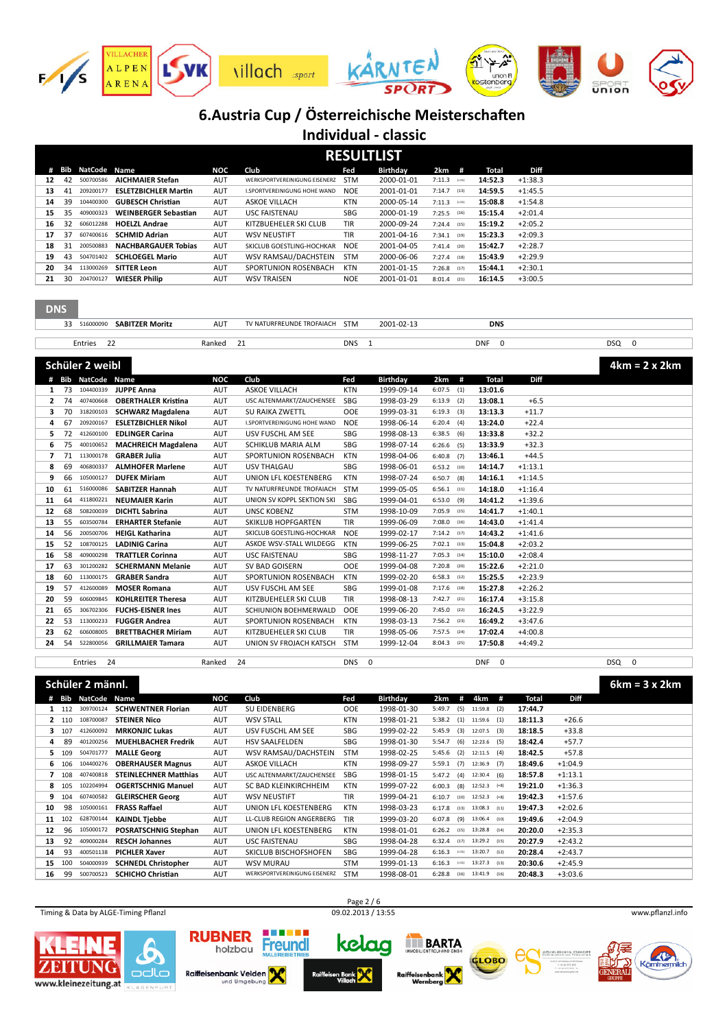

| <b>RESULTLIST</b> |    |                    |                             |            |                                     |            |            |                   |         |           |  |
|-------------------|----|--------------------|-----------------------------|------------|-------------------------------------|------------|------------|-------------------|---------|-----------|--|
|                   |    | <b>Bib NatCode</b> | <b>Name</b>                 | NOC        | Club                                | Fed        | Birthday   | $2km$ #           | Total   | Diff      |  |
| 12                | 42 | 500700586          | <b>AICHMAIER Stefan</b>     | <b>AUT</b> | WERKSPORTVEREINIGUNG EISENERZ       | <b>STM</b> | 2000-01-01 | 7:11.3<br>$(-11)$ | 14:52.3 | $+1:38.3$ |  |
| 13                | 41 | 209200177          | <b>ESLETZBICHLER Martin</b> | <b>AUT</b> | <b>I.SPORTVEREINIGUNG HOHE WAND</b> | <b>NOE</b> | 2001-01-01 | 7:14.7<br>(13)    | 14:59.5 | $+1:45.5$ |  |
| 14                | 39 | 104400300          | <b>GUBESCH Christian</b>    | <b>AUT</b> | <b>ASKOF VILLACH</b>                | <b>KTN</b> | 2000-05-14 | 7:11.3<br>$(-11)$ | 15:08.8 | $+1:54.8$ |  |
| 15                | 35 | 409000323          | <b>WEINBERGER Sebastian</b> | <b>AUT</b> | <b>USC FAISTENAU</b>                | SBG        | 2000-01-19 | 7:25.5<br>(16)    | 15:15.4 | $+2:01.4$ |  |
| 16                | 32 | 606012288          | <b>HOELZL Andrae</b>        | <b>AUT</b> | KITZBUEHELER SKI CLUB               | <b>TIR</b> | 2000-09-24 | 7:24.4<br>(15)    | 15:19.2 | $+2:05.2$ |  |
| 17                | 37 | 607400616          | <b>SCHMID Adrian</b>        | <b>AUT</b> | <b>WSV NEUSTIFT</b>                 | <b>TIR</b> | 2001-04-16 | 7:34.1<br>(19)    | 15:23.3 | $+2:09.3$ |  |
| 18                | 31 | 200500883          | <b>NACHBARGAUER Tobias</b>  | <b>AUT</b> | SKICLUB GOFSTLING-HOCHKAR           | <b>NOE</b> | 2001-04-05 | $7:41.4$ (20)     | 15:42.7 | $+2:28.7$ |  |
| 19                | 43 | 504701402          | <b>SCHLOEGEL Mario</b>      | <b>AUT</b> | WSV RAMSAU/DACHSTEIN                | <b>STM</b> | 2000-06-06 | 7:27.4<br>(18)    | 15:43.9 | $+2:29.9$ |  |
| 20                | 34 | 113000269          | <b>SITTER Leon</b>          | <b>AUT</b> | SPORTUNION ROSENBACH                | KTN        | 2001-01-15 | 7:26.8<br>(17)    | 15:44.1 | $+2:30.1$ |  |
| 21                | 30 | 204700127          | <b>WIESER Philip</b>        | <b>AUT</b> | <b>WSV TRAISEN</b>                  | <b>NOE</b> | 2001-01-01 | 8:01.4<br>(21)    | 16:14.5 | $+3:00.5$ |  |

| <b>SABITZ</b><br>"ZER Morit. | AU <sup>-</sup> | FUNDF<br><b>OFAIACH</b><br>' NATU | <b>STM</b> | 2001<br>.<br>UZ | <b>DNS</b><br>$\sim$ |     |  |
|------------------------------|-----------------|-----------------------------------|------------|-----------------|----------------------|-----|--|
|                              |                 |                                   |            |                 |                      |     |  |
| Entries<br>--                | ⊀anked          | --                                | <b>DNS</b> |                 | <b>DNF</b>           | DSQ |  |

|    |    | Schüler 2 weibl    |                            |            |                              |            |            |               |     |         |           | $4km = 2 \times 2km$ |
|----|----|--------------------|----------------------------|------------|------------------------------|------------|------------|---------------|-----|---------|-----------|----------------------|
|    |    | <b>Bib NatCode</b> | <b>Name</b>                | <b>NOC</b> | Club                         | Fed        | Birthday   | 2km           | #   | Total   | Diff      |                      |
|    | 73 | 104400339          | <b>JUPPE Anna</b>          | <b>AUT</b> | <b>ASKOE VILLACH</b>         | <b>KTN</b> | 1999-09-14 | $6:07.5$ (1)  |     | 13:01.6 |           |                      |
| 2  | 74 | 407400668          | <b>OBERTHALER Kristina</b> | <b>AUT</b> | USC ALTENMARKT/ZAUCHENSEE    | SBG        | 1998-03-29 | $6:13.9$ (2)  |     | 13:08.1 | $+6.5$    |                      |
| з  | 70 | 318200103          | <b>SCHWARZ Magdalena</b>   | <b>AUT</b> | <b>SU RAIKA ZWETTL</b>       | <b>OOE</b> | 1999-03-31 | $6:19.3$ (3)  |     | 13:13.3 | $+11.7$   |                      |
| 4  | 67 | 209200167          | <b>ESLETZBICHLER Nikol</b> | <b>AUT</b> | I.SPORTVEREINIGUNG HOHE WAND | <b>NOE</b> | 1998-06-14 | 6:20.4        | (4) | 13:24.0 | $+22.4$   |                      |
| 5  | 72 | 412600100          | <b>EDLINGER Carina</b>     | <b>AUT</b> | USV FUSCHL AM SEE            | SBG        | 1998-08-13 | $6:38.5$ (6)  |     | 13:33.8 | $+32.2$   |                      |
| 6  | 75 | 400100652          | <b>MACHREICH Magdalena</b> | <b>AUT</b> | <b>SCHIKLUB MARIA ALM</b>    | <b>SBG</b> | 1998-07-14 | $6:26.6$ (5)  |     | 13:33.9 | $+32.3$   |                      |
|    | 71 | 113000178          | <b>GRABER Julia</b>        | <b>AUT</b> | SPORTUNION ROSENBACH         | KTN        | 1998-04-06 | $6:40.8$ (7)  |     | 13:46.1 | $+44.5$   |                      |
| 8  | 69 | 406800337          | <b>ALMHOFER Marlene</b>    | <b>AUT</b> | <b>USV THALGAU</b>           | <b>SBG</b> | 1998-06-01 | $6:53.2$ (10) |     | 14:14.7 | $+1:13.1$ |                      |
| q  | 66 | 105000127          | <b>DUFEK Miriam</b>        | <b>AUT</b> | UNION LFL KOESTENBERG        | <b>KTN</b> | 1998-07-24 | $6:50.7$ (8)  |     | 14:16.1 | $+1:14.5$ |                      |
| 10 | 61 | 516000086          | <b>SABITZER Hannah</b>     | <b>AUT</b> | TV NATURFREUNDE TROFAIACH    | <b>STM</b> | 1999-05-05 | $6:56.1$ (11) |     | 14:18.0 | $+1:16.4$ |                      |
| 11 | 64 | 411800221          | <b>NEUMAIER Karin</b>      | <b>AUT</b> | UNION SV KOPPL SEKTION SKI   | <b>SBG</b> | 1999-04-01 | $6:53.0$ (9)  |     | 14:41.2 | $+1:39.6$ |                      |
| 12 | 68 | 508200039          | <b>DICHTL Sabrina</b>      | <b>AUT</b> | <b>UNSC KOBENZ</b>           | <b>STM</b> | 1998-10-09 | $7:05.9$ (15) |     | 14:41.7 | $+1:40.1$ |                      |
| 13 | 55 | 603500784          | <b>ERHARTER Stefanie</b>   | <b>AUT</b> | <b>SKIKLUB HOPFGARTEN</b>    | <b>TIR</b> | 1999-06-09 | $7:08.0$ (16) |     | 14:43.0 | $+1:41.4$ |                      |
| 14 | 56 | 200500706          | <b>HEIGL Katharina</b>     | <b>AUT</b> | SKICLUB GOESTLING-HOCHKAR    | <b>NOE</b> | 1999-02-17 | $7:14.2$ (17) |     | 14:43.2 | $+1:41.6$ |                      |
| 15 | 52 | 108700125          | <b>LADINIG Carina</b>      | <b>AUT</b> | ASKOE WSV-STALL WILDEGG      | <b>KTN</b> | 1999-06-25 | $7:02.1$ (13) |     | 15:04.8 | $+2:03.2$ |                      |
| 16 | 58 | 409000298          | <b>TRATTLER Corinna</b>    | <b>AUT</b> | <b>USC FAISTENAU</b>         | SBG        | 1998-11-27 | $7:05.3$ (14) |     | 15:10.0 | $+2:08.4$ |                      |
| 17 | 63 | 301200282          | <b>SCHERMANN Melanie</b>   | <b>AUT</b> | SV BAD GOISERN               | <b>OOE</b> | 1999-04-08 | $7:20.8$ (20) |     | 15:22.6 | $+2:21.0$ |                      |
| 18 | 60 | 113000175          | <b>GRABER Sandra</b>       | <b>AUT</b> | SPORTUNION ROSENBACH         | <b>KTN</b> | 1999-02-20 | $6:58.3$ (12) |     | 15:25.5 | $+2:23.9$ |                      |
| 19 | 57 | 412600089          | <b>MOSER Romana</b>        | <b>AUT</b> | USV FUSCHL AM SEE            | SBG        | 1999-01-08 | $7:17.6$ (18) |     | 15:27.8 | $+2:26.2$ |                      |
| 20 | 59 | 606009845          | <b>KOHLREITER Theresa</b>  | <b>AUT</b> | KITZBUEHELER SKI CLUB        | <b>TIR</b> | 1998-08-13 | $7:42.7$ (21) |     | 16:17.4 | $+3:15.8$ |                      |
| 21 | 65 | 306702306          | <b>FUCHS-EISNER Ines</b>   | <b>AUT</b> | SCHIUNION BOEHMERWALD        | <b>OOE</b> | 1999-06-20 | $7:45.0$ (22) |     | 16:24.5 | $+3:22.9$ |                      |
| 22 | 53 | 113000233          | <b>FUGGER Andrea</b>       | <b>AUT</b> | SPORTUNION ROSENBACH         | <b>KTN</b> | 1998-03-13 | $7:56.2$ (23) |     | 16:49.2 | $+3:47.6$ |                      |
| 23 | 62 | 606008005          | <b>BRETTBACHER Miriam</b>  | <b>AUT</b> | KITZBUEHELER SKI CLUB        | <b>TIR</b> | 1998-05-06 | $7:57.5$ (24) |     | 17:02.4 | $+4:00.8$ |                      |
| 24 | 54 | 522800056          | <b>GRILLMAIER Tamara</b>   | <b>AUT</b> | UNION SV FROJACH KATSCH      | <b>STM</b> | 1999-12-04 | $8:04.3$ (25) |     | 17:50.8 | $+4:49.2$ |                      |
|    |    |                    |                            |            |                              |            |            |               |     |         |           |                      |
|    |    | Entries<br>24      |                            | Ranked     | 24                           | DNS 0      |            |               |     | DNF 0   |           | DSQ<br>0             |

|    |       | Schüler 2 männl. |                              |            |                               |            |            |                   |                |         |           | $6km = 3 \times 2km$ |
|----|-------|------------------|------------------------------|------------|-------------------------------|------------|------------|-------------------|----------------|---------|-----------|----------------------|
|    |       | # Bib NatCode    | Name                         | NOC        | Club                          | Fed        | Birthday   | 2km<br>#          | 4km<br>#       | Total   | Diff      |                      |
|    | 1 112 | 309700124        | <b>SCHWENTNER Florian</b>    | AUT        | SU EIDENBERG                  | <b>OOE</b> | 1998-01-30 | 5:49.7<br>(5)     | $11:59.8$ (2)  | 17:44.7 |           |                      |
|    | 2 110 | 108700087        | <b>STEINER Nico</b>          | AUT        | <b>WSV STALL</b>              | <b>KTN</b> | 1998-01-21 | $5:38.2$ (1)      | $11:59.6$ (1)  | 18:11.3 | $+26.6$   |                      |
|    | 3 107 | 412600092        | <b>MRKONJIC Lukas</b>        | <b>AUT</b> | USV FUSCHL AM SEE             | SBG        | 1999-02-22 | 5:45.9<br>(3)     | $12:07.5$ (3)  | 18:18.5 | $+33.8$   |                      |
| 4  | 89    | 401200256        | <b>MUEHLBACHER Fredrik</b>   | <b>AUT</b> | <b>HSV SAALFELDEN</b>         | <b>SBG</b> | 1998-01-30 | (6)<br>5:54.7     | $12:23.6$ (5)  | 18:42.4 | $+57.7$   |                      |
|    | 5 109 | 504701777        | <b>MALLE Georg</b>           | <b>AUT</b> | WSV RAMSAU/DACHSTEIN          | <b>STM</b> | 1998-02-25 | $5:45.6$ (2)      | $12:11.5$ (4)  | 18:42.5 | $+57.8$   |                      |
|    | 6 106 | 104400276        | <b>OBERHAUSER Magnus</b>     | <b>AUT</b> | <b>ASKOE VILLACH</b>          | <b>KTN</b> | 1998-09-27 | (7)<br>5:59.1     | $12:36.9$ (7)  | 18:49.6 | $+1:04.9$ |                      |
|    | 108   | 407400818        | <b>STEINLECHNER Matthias</b> | <b>AUT</b> | USC ALTENMARKT/ZAUCHENSEE     | <b>SBG</b> | 1998-01-15 | 5:47.2<br>(4)     | $12:30.4$ (6)  | 18:57.8 | $+1:13.1$ |                      |
| 8  | 105   | 102204994        | <b>OGERTSCHNIG Manuel</b>    | <b>AUT</b> | SC BAD KLEINKIRCHHEIM         | KTN        | 1999-07-22 | $6:00.3$ (8)      | $12:52.3$ (=8) | 19:21.0 | $+1:36.3$ |                      |
| 9  | 104   | 607400582        | <b>GLEIRSCHER Georg</b>      | AUT        | <b>WSV NEUSTIFT</b>           | <b>TIR</b> | 1999-04-21 | 6:10.7<br>(10)    | $12:52.3$ (=8) | 19:42.3 | $+1:57.6$ |                      |
| 10 | 98    | 105000161        | <b>FRASS Raffael</b>         | <b>AUT</b> | UNION LFL KOESTENBERG         | <b>KTN</b> | 1998-03-23 | 6:17.8<br>(13)    | 13:08.3 (11)   | 19:47.3 | $+2:02.6$ |                      |
| 11 | 102   | 628700144        | <b>KAINDL Tiebbe</b>         | <b>AUT</b> | LL-CLUB REGION ANGERBERG      | <b>TIR</b> | 1999-03-20 | $6:07.8$ (9)      | 13:06.4 (10)   | 19:49.6 | $+2:04.9$ |                      |
| 12 | 96    | 105000172        | POSRATSCHNIG Stephan         | <b>AUT</b> | UNION LFL KOESTENBERG         | KTN        | 1998-01-01 | 6:26.2<br>(15)    | 13:28.8 (14)   | 20:20.0 | $+2:35.3$ |                      |
| 13 | 92    | 409000284        | <b>RESCH Johannes</b>        | <b>AUT</b> | <b>USC FAISTENAU</b>          | SBG        | 1998-04-28 | 6:32.4<br>(17)    | 13:29.2 (15)   | 20:27.9 | $+2:43.2$ |                      |
| 14 | 93    | 400501138        | <b>PICHLER Xaver</b>         | <b>AUT</b> | SKICLUB BISCHOFSHOFEN         | <b>SBG</b> | 1999-04-28 | 6:16.3<br>$(-11)$ | 13:20.7 (12)   | 20:28.4 | $+2:43.7$ |                      |
| 15 | 100   | 504000939        | <b>SCHNEDL Christopher</b>   | AUT        | <b>WSV MURAU</b>              | <b>STM</b> | 1999-01-13 | 6:16.3<br>$(-11)$ | 13:27.3 (13)   | 20:30.6 | $+2:45.9$ |                      |
| 16 | 99    | 500700523        | <b>SCHICHO Christian</b>     | AUT        | WERKSPORTVEREINIGUNG EISENERZ | <b>STM</b> | 1998-08-01 | $6:28.8$ (16)     | 13:41.9 (16)   | 20:48.3 | $+3:03.6$ |                      |

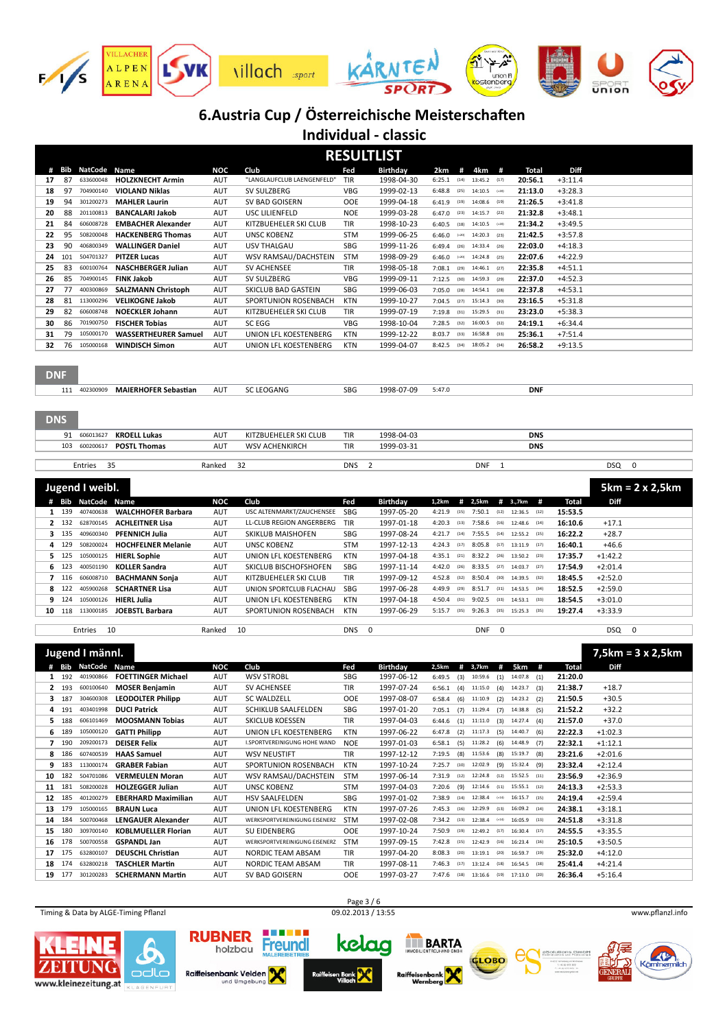

|                                                           |                                                                           |                                                        | <b>RESULTLIST</b>            |                          |                                     |                                       |                                    |                        |                          |  |
|-----------------------------------------------------------|---------------------------------------------------------------------------|--------------------------------------------------------|------------------------------|--------------------------|-------------------------------------|---------------------------------------|------------------------------------|------------------------|--------------------------|--|
| #<br>Bib<br>NatCode<br>Name                               | NOC                                                                       | Club                                                   | Fed                          | Birthday                 | 2km<br>#                            | #<br>4km                              | Total                              | Diff                   |                          |  |
| 87<br>17<br>633600048                                     | <b>HOLZKNECHT Armin</b><br>AUT                                            | "LANGLAUFCLUB LAENGENFELD'                             | TIR                          | 1998-04-30               | 6:25.1<br>(14)                      | 13:45.2<br>(17)                       | 20:56.1                            | $+3:11.4$              |                          |  |
| 18<br>97<br>704900140                                     | <b>VIOLAND Niklas</b><br>AUT                                              | SV SULZBERG                                            | <b>VBG</b>                   | 1999-02-13               | 6:48.8<br>(25)                      | 14:10.5<br>$(-20)$                    | 21:13.0                            | $+3:28.3$              |                          |  |
| 94<br>19<br>301200273                                     | <b>MAHLER Laurin</b><br>AUT                                               | SV BAD GOISERN                                         | OOE                          | 1999-04-18               | 6:41.9<br>(19)                      | 14:08.6<br>(19)                       | 21:26.5                            | $+3:41.8$              |                          |  |
| 20<br>88<br>201100813                                     | <b>BANCALARI Jakob</b><br>AUT                                             | USC LILIENFELD<br>KITZBUEHELER SKI CLUB                | <b>NOE</b>                   | 1999-03-28               | 6:47.0<br>(23)                      | 14:15.7<br>(22)                       | 21:32.8                            | $+3:48.1$              |                          |  |
| 84<br>21<br>606008728<br>95<br>22<br>508200048            | AUT<br><b>EMBACHER Alexander</b><br><b>HACKENBERG Thomas</b><br>AUT       | <b>UNSC KOBENZ</b>                                     | TIR<br><b>STM</b>            | 1998-10-23<br>1999-06-25 | 6:40.5<br>(18)<br>6:46.0<br>$(-20)$ | 14:10.5<br>$(-20)$<br>14:20.3<br>(23) | 21:34.2<br>21:42.5                 | $+3:49.5$<br>$+3:57.8$ |                          |  |
| 23<br>90<br>406800349                                     | <b>WALLINGER Daniel</b><br>AUT                                            | USV THALGAU                                            | <b>SBG</b>                   | 1999-11-26               | 6:49.4<br>(26)                      | 14:33.4<br>(26)                       | 22:03.0                            | $+4:18.3$              |                          |  |
| 24<br>101<br>504701327                                    | <b>PITZER Lucas</b><br>AUT                                                | WSV RAMSAU/DACHSTEIN                                   | <b>STM</b>                   | 1998-09-29               | 6:46.0<br>$(-20)$                   | 14:24.8<br>(25)                       | 22:07.6                            | $+4:22.9$              |                          |  |
| 83<br>25<br>600100764                                     | <b>NASCHBERGER Julian</b><br>AUT                                          | <b>SV ACHENSEE</b>                                     | TIR                          | 1998-05-18               | 7:08.1<br>(29)                      | 14:46.1<br>(27)                       | 22:35.8                            | $+4:51.1$              |                          |  |
| <b>FINK Jakob</b><br>26<br>85<br>704900145                | AUT                                                                       | SV SULZBERG                                            | <b>VBG</b>                   | 1999-09-11               | 7:12.5<br>(30)                      | 14:59.3<br>(29)                       | 22:37.0                            | $+4:52.3$              |                          |  |
| 77<br>27<br>400300869                                     | <b>SALZMANN Christoph</b><br>AUT                                          | SKICLUB BAD GASTEIN                                    | <b>SBG</b>                   | 1999-06-03               | 7:05.0<br>(28)                      | 14:54.1<br>(28)                       | 22:37.8                            | $+4:53.1$              |                          |  |
| 28<br>81<br>113000296                                     | <b>VELIKOGNE Jakob</b><br>AUT                                             | SPORTUNION ROSENBACH                                   | KTN                          | 1999-10-27               | 7:04.5<br>(27)                      | 15:14.3<br>(30)                       | 23:16.5                            | $+5:31.8$              |                          |  |
| 82<br>29<br>606008748                                     | <b>NOECKLER Johann</b><br>AUT                                             | KITZBUEHELER SKI CLUB                                  | TIR                          | 1999-07-19               | 7:19.8<br>(31)                      | 15:29.5<br>(31)                       | 23:23.0                            | $+5:38.3$              |                          |  |
| 30<br>86<br>701900750                                     | <b>FISCHER Tobias</b><br>AUT                                              | SC EGG                                                 | <b>VBG</b>                   | 1998-10-04               | 7:28.5<br>(32)                      | 16:00.5<br>(32)                       | 24:19.1                            | $+6:34.4$              |                          |  |
| 79<br>31<br>105000170                                     | <b>WASSERTHEURER Samuel</b><br>AUT                                        | UNION LFL KOESTENBERG                                  | <b>KTN</b>                   | 1999-12-22               | 8:03.7<br>(33)                      | 16:58.8<br>(33)                       | 25:36.1                            | $+7:51.4$              |                          |  |
| 32<br>76<br>105000168                                     | AUT<br><b>WINDISCH Simon</b>                                              | UNION LFL KOESTENBERG                                  | <b>KTN</b>                   | 1999-04-07               | 8:42.5<br>(34)                      | 18:05.2<br>(34)                       | 26:58.2                            | $+9:13.5$              |                          |  |
| <b>DNF</b>                                                |                                                                           |                                                        |                              |                          |                                     |                                       |                                    |                        |                          |  |
| 111 402300909                                             | AUT<br><b>MAIERHOFER Sebastian</b>                                        | <b>SC LEOGANG</b>                                      | SBG                          | 1998-07-09               | 5:47.0                              |                                       | <b>DNF</b>                         |                        |                          |  |
| <b>DNS</b><br>606013627<br>91                             | <b>KROELL Lukas</b><br><b>AUT</b>                                         | KITZBUEHELER SKI CLUB                                  | <b>TIR</b>                   | 1998-04-03               |                                     |                                       | <b>DNS</b>                         |                        |                          |  |
| 103<br>600200617                                          | <b>POSTL Thomas</b><br><b>AUT</b>                                         | <b>WSV ACHENKIRCH</b>                                  | <b>TIR</b>                   | 1999-03-31               |                                     |                                       | <b>DNS</b>                         |                        |                          |  |
| 35                                                        | Ranked                                                                    | 32                                                     | $\overline{2}$<br><b>DNS</b> |                          |                                     | <b>DNF</b><br>$\mathbf{1}$            |                                    |                        | <b>DSQ</b><br>0          |  |
| Entries                                                   |                                                                           |                                                        |                              |                          |                                     |                                       |                                    |                        |                          |  |
| Jugend I weibl.                                           |                                                                           |                                                        |                              |                          |                                     |                                       |                                    |                        | $5km = 2 \times 2,5km$   |  |
| NatCode<br>Bib<br>Name<br>#                               | <b>NOC</b>                                                                | Club                                                   | Fed                          | <b>Birthday</b>          | 1,2km<br>#<br>4:21.9<br>(15)        | 2,5km<br>7:50.1<br>(12)               | # 3.,7km<br>#<br>12:36.5<br>(12)   | <b>Total</b>           | Diff                     |  |
| 139<br>407400638<br>$\mathbf{1}$<br>132<br>628700145<br>2 | <b>WALCHHOFER Barbara</b><br>AUT<br><b>ACHLEITNER Lisa</b><br><b>AUT</b>  | USC ALTENMARKT/ZAUCHENSEE<br>LL-CLUB REGION ANGERBERG  | SBG<br>TIR                   | 1997-05-20<br>1997-01-18 | 4:20.3<br>(13)                      | 7:58.6<br>(16)                        | 12:48.6<br>(14)                    | 15:53.5<br>16:10.6     | $+17.1$                  |  |
| 3<br>135<br>409600340                                     | <b>PFENNICH Julia</b><br><b>AUT</b>                                       | SKIKLUB MAISHOFEN                                      | SBG                          | 1997-08-24               | 4:21.7<br>(14)                      | 7:55.5<br>(14)                        | 12:55.2<br>(15)                    | 16:22.2                | $+28.7$                  |  |
| 129<br>508200024<br>4                                     | <b>HOCHFELNER Melanie</b><br><b>AUT</b>                                   | <b>UNSC KOBENZ</b>                                     |                              |                          |                                     |                                       |                                    |                        |                          |  |
| 125<br>105000125<br>5.                                    |                                                                           |                                                        |                              |                          | 4:24.3<br>(17)                      | 8:05.8<br>(17)                        | 13:11.9<br>(17)                    |                        |                          |  |
|                                                           | <b>HIERL Sophie</b><br><b>AUT</b>                                         | UNION LFL KOESTENBERG                                  | <b>STM</b><br><b>KTN</b>     | 1997-12-13<br>1997-04-18 | 4:35.1<br>(21)                      | 8:32.2<br>(26)                        | 13:50.2<br>(23)                    | 16:40.1<br>17:35.7     | $+46.6$<br>$+1:42.2$     |  |
| 123<br>400501190<br>6                                     | <b>KOLLER Sandra</b><br>AUT                                               | SKICLUB BISCHOFSHOFEN                                  | SBG                          | 1997-11-14               | 4:42.0<br>(26)                      | 8:33.5<br>(27)                        | 14:03.7<br>(27)                    | 17:54.9                | $+2:01.4$                |  |
| $\overline{ }$<br>116<br>606008710                        | <b>BACHMANN Sonja</b><br><b>AUT</b>                                       | KITZBUEHELER SKI CLUB                                  | TIR                          | 1997-09-12               | 4:52.8<br>(32)                      | 8:50.4<br>(30)                        | 14:39.5<br>(32)                    | 18:45.5                | $+2:52.0$                |  |
| 122<br>405900268<br>8                                     | <b>SCHARTNER Lisa</b><br><b>AUT</b>                                       | UNION SPORTCLUB FLACHAU                                | SBG                          | 1997-06-28               | 4:49.9<br>(29)                      | 8:51.7<br>(31)                        | 14:53.5<br>(34)                    | 18:52.5                | $+2:59.0$                |  |
| 9<br>124<br>105000126<br><b>HIERL Julia</b>               | <b>AUT</b>                                                                | UNION LFL KOESTENBERG                                  | <b>KTN</b>                   | 1997-04-18               | 4:50.4<br>(31)                      | 9:02.5<br>(33)                        | 14:53.1<br>(33)                    | 18:54.5                | $+3:01.0$                |  |
| 118<br>113000185<br>10                                    | <b>JOEBSTL Barbara</b><br>AUT                                             | SPORTUNION ROSENBACH                                   | <b>KTN</b>                   | 1997-06-29               | 5:15.7<br>(35)                      | 9:26.3<br>(35)                        | 15:25.3<br>(35)                    | 19:27.4                | $+3:33.9$                |  |
| Entries<br>10                                             | Ranked                                                                    | 10                                                     | 0<br><b>DNS</b>              |                          |                                     | 0<br>DNF                              |                                    |                        | 0<br>DSQ.                |  |
|                                                           |                                                                           |                                                        |                              |                          |                                     |                                       |                                    |                        |                          |  |
| Jugend I männl.                                           |                                                                           |                                                        |                              |                          |                                     |                                       |                                    |                        | $7,5km = 3 \times 2,5km$ |  |
| NatCode<br># Bib<br>Name                                  | <b>NOC</b>                                                                | Club                                                   | Fed                          | <b>Birthday</b>          | # 3,7km<br>2,5km                    | #                                     | 5km<br>#                           | <b>Total</b>           | Diff                     |  |
| 192<br>401900866<br>$\mathbf{1}$                          | <b>FOETTINGER Michael</b><br>AUT                                          | <b>WSV STROBL</b>                                      | SBG                          | 1997-06-12               | 6:49.5<br>(3)                       | (1)<br>10:59.6                        | 14:07.8<br>(1)                     | 21:20.0                |                          |  |
| 600100640<br>$\mathbf{2}$<br>193                          | <b>MOSER Benjamin</b><br>AUT                                              | SV ACHENSEE                                            | <b>TIR</b>                   | 1997-07-24               | (4)<br>6:56.1                       | (4)<br>11:15.0                        | 14:23.7<br>(3)                     | 21:38.7                | $+18.7$                  |  |
| 3 187<br>304600308                                        | <b>LEODOLTER Philipp</b><br><b>AUT</b>                                    | SC WALDZELL                                            | OOE                          | 1997-08-07               | 6:58.4<br>(6)                       | (2)<br>11:10.9                        | 14:23.2<br>(2)                     | 21:50.5                | $+30.5$                  |  |
| 4 191<br>403401998<br>188<br>606101469<br>5.              | <b>DUCI Patrick</b><br><b>AUT</b><br><b>MOOSMANN Tobias</b><br><b>AUT</b> | <b>SCHIKLUB SAALFELDEN</b><br>SKICLUB KOESSEN          | SBG<br>TIR                   | 1997-01-20<br>1997-04-03 | 7:05.1<br>(7)<br>6:44.6<br>(1)      | 11:29.4<br>(7)<br>11:11.0<br>(3)      | 14:38.8<br>(5)<br>14:27.4<br>(4)   | 21:52.2<br>21:57.0     | $+32.2$<br>$+37.0$       |  |
| 6 189<br>105000120                                        | <b>GATTI Philipp</b><br>AUT                                               | UNION LFL KOESTENBERG                                  | <b>KTN</b>                   | 1997-06-22               | 6:47.8<br>(2)                       | 11:17.3<br>(5)                        | 14:40.7<br>(6)                     | 22:22.3                | $+1:02.3$                |  |
| 7 190<br>209200173                                        | <b>DEISER Felix</b><br>AUT                                                | I.SPORTVEREINIGUNG HOHE WAND                           | <b>NOE</b>                   | 1997-01-03               | 6:58.1<br>(5)                       | 11:28.2<br>(6)                        | 14:48.9<br>(7)                     | 22:32.1                | $+1:12.1$                |  |
| 186<br>8<br>607400539                                     | <b>HAAS Samuel</b><br>AUT                                                 | <b>WSV NEUSTIFT</b>                                    | TIR                          | 1997-12-12               | (8)<br>7:19.5                       | 11:53.6<br>(8)                        | 15:19.7<br>(8)                     | 23:21.6                | $+2:01.6$                |  |
| 183<br>113000174<br>9                                     | <b>GRABER Fabian</b><br><b>AUT</b>                                        | SPORTUNION ROSENBACH                                   | <b>KTN</b>                   | 1997-10-24               | 7:25.7<br>(10)                      | 12:02.9<br>(9)                        | 15:32.4<br>(9)                     | 23:32.4                | $+2:12.4$                |  |
| 182<br>504701086<br>10                                    | <b>VERMEULEN Moran</b><br>AUT                                             | WSV RAMSAU/DACHSTEIN                                   | <b>STM</b>                   | 1997-06-14               | $7:31.9$ (12)                       | 12:24.8<br>(12)                       | 15:52.5<br>(11)                    | 23:56.9                | $+2:36.9$                |  |
| 181<br>508200028<br>11                                    | <b>HOLZEGGER Julian</b><br>AUT                                            | <b>UNSC KOBENZ</b>                                     | <b>STM</b>                   | 1997-04-03               | 7:20.6<br>(9)                       | 12:14.6<br>(11)                       | 15:55.1<br>(12)                    | 24:13.3                | $+2:53.3$                |  |
| 12 185<br>401200279                                       | <b>EBERHARD Maximilian</b><br><b>AUT</b>                                  | HSV SAALFELDEN                                         | SBG                          | 1997-01-02               | 7:38.9<br>(14)                      | 12:38.4<br>$(-14)$                    | 16:15.7<br>(15)                    | 24:19.4                | $+2:59.4$                |  |
| 13 179<br>105000165                                       | <b>BRAUN Luca</b><br>AUT                                                  | UNION LFL KOESTENBERG<br>WERKSPORTVEREINIGUNG EISENERZ | <b>KTN</b>                   | 1997-07-26               | 7:45.3<br>(16)                      | 12:29.9<br>(13)<br>$12:38.4$ (-14)    | 16:09.2<br>(14)<br>16:05.9<br>(13) | 24:38.1                | $+3:18.1$                |  |
| 14 184<br>500700468<br>180<br>309700140<br>15             | <b>LENGAUER Alexander</b><br>AUT<br><b>KOBLMUELLER Florian</b><br>AUT     | SU EIDENBERG                                           | STM<br>OOE                   | 1997-02-08<br>1997-10-24 | $7:34.2$ (13)<br>7:50.9<br>(19)     | 12:49.2<br>(17)                       | 16:30.4<br>(17)                    | 24:51.8<br>24:55.5     | $+3:31.8$<br>$+3:35.5$   |  |
| 16 178<br>500700558                                       | <b>GSPANDL Jan</b><br>AUT                                                 | WERKSPORTVEREINIGUNG EISENERZ                          | STM                          | 1997-09-15               | $7:42.8$ (15)                       | 12:42.9<br>(16)                       | 16:23.4<br>(16)                    | 25:10.5                | $+3:50.5$                |  |
| 175<br>17<br>632800107                                    | <b>DEUSCHL Christian</b><br>AUT                                           | NORDIC TEAM ABSAM                                      | TIR                          | 1997-04-20               | 8:08.3<br>(20)                      | 13:19.1<br>(20)                       | 16:59.7<br>(19)                    | 25:32.0                | $+4:12.0$                |  |
| 18 174<br>632800218                                       | <b>TASCHLER Martin</b><br>AUT                                             | NORDIC TEAM ABSAM                                      | TIR<br>OOE                   | 1997-08-11<br>1997-03-27 | $7:46.3$ (17)<br>7:47.6             | 13:12.4<br>(18)                       | 16:54.5<br>(18)                    | 25:41.4                | $+4:21.4$<br>$+5:16.4$   |  |

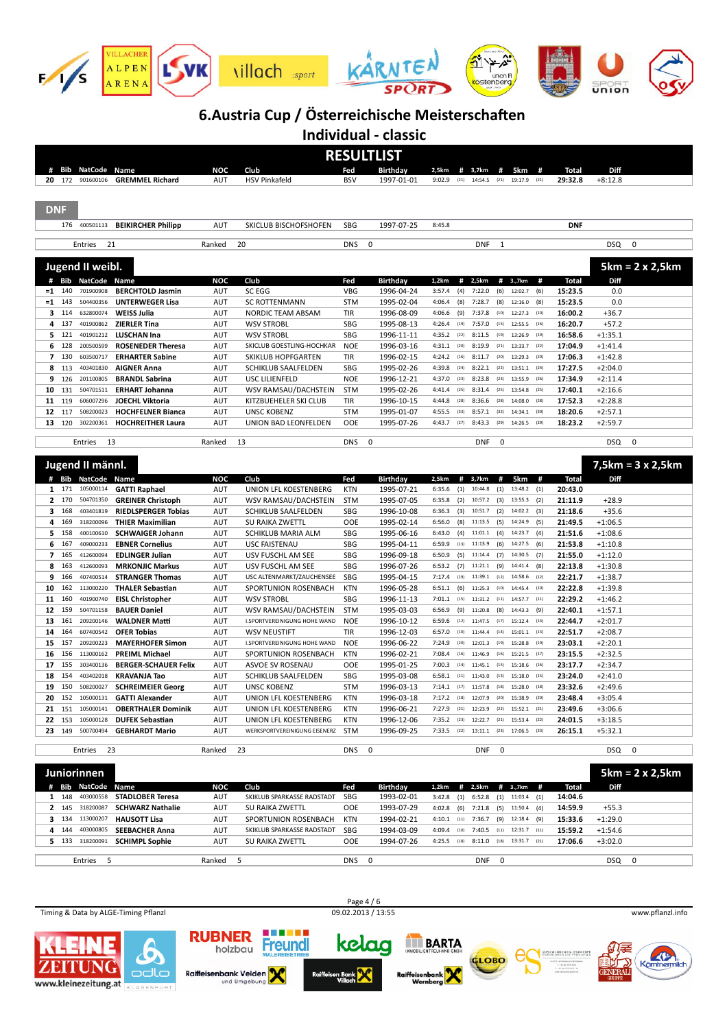

**Individual - classic**

|            |                  |                             |                                  |                   |                                               |                   | <b>RESULTLIST</b>             |               |                                       |                      |                         |                         |                      |                          |
|------------|------------------|-----------------------------|----------------------------------|-------------------|-----------------------------------------------|-------------------|-------------------------------|---------------|---------------------------------------|----------------------|-------------------------|-------------------------|----------------------|--------------------------|
| #          | Bib              | <b>NatCode</b>              | Name                             | <b>NOC</b>        | Club                                          | Fed               | <b>Birthday</b>               | 2,5km         | 3,7km<br>#                            | #                    | 5km<br>#                | Total                   | Diff                 |                          |
|            | 20 172           | 901600106                   | <b>GREMMEL Richard</b>           | AUT               | <b>HSV Pinkafeld</b>                          | <b>BSV</b>        | 1997-01-01                    | 9:02.9        | (21)<br>14:54.5                       | (21)                 | 19:17.9<br>(21)         | 29:32.8                 | $+8:12.8$            |                          |
|            |                  |                             |                                  |                   |                                               |                   |                               |               |                                       |                      |                         |                         |                      |                          |
|            |                  |                             |                                  |                   |                                               |                   |                               |               |                                       |                      |                         |                         |                      |                          |
| <b>DNF</b> |                  |                             |                                  |                   |                                               |                   |                               |               |                                       |                      |                         |                         |                      |                          |
|            |                  |                             | 176 400501113 BEIKIRCHER Philipp | AUT               | SKICLUB BISCHOFSHOFEN                         | SBG               | 1997-07-25                    | 8:45.8        |                                       |                      |                         | <b>DNF</b>              |                      |                          |
|            |                  |                             |                                  |                   |                                               |                   |                               |               |                                       |                      |                         |                         |                      |                          |
|            |                  | Entries                     | 21                               | Ranked            | 20                                            | <b>DNS</b>        | $\mathbf 0$                   |               | <b>DNF</b>                            | $\mathbf{1}$         |                         |                         | <b>DSQ</b>           | $\mathbf 0$              |
|            |                  |                             |                                  |                   |                                               |                   |                               |               |                                       |                      |                         |                         |                      |                          |
|            |                  | Jugend II weibl.            |                                  |                   |                                               |                   |                               |               |                                       |                      |                         |                         |                      | $5km = 2 \times 2,5km$   |
| #          |                  | <b>Bib NatCode</b>          | Name                             | NOC               | Club                                          | Fed               | <b>Birthday</b>               | 1,2km         | #<br>2,5km                            | # 3.,7km             | #                       | <b>Total</b>            | Diff                 |                          |
|            | $= 1 140$        | 701900908                   | <b>BERCHTOLD Jasmin</b>          | AUT               | SC EGG                                        | <b>VBG</b>        | 1996-04-24                    | 3:57.4        | 7:22.0<br>(4)                         | (6)<br>12:02.7       | (6)                     | 15:23.5                 | 0.0                  |                          |
| $=1$       | 143              | 504400356                   | <b>UNTERWEGER Lisa</b>           | AUT               | <b>SC ROTTENMANN</b>                          | <b>STM</b>        | 1995-02-04                    | 4:06.4        | 7:28.7<br>(8)                         | (8)                  | 12:16.0<br>(8)          | 15:23.5                 | 0.0                  |                          |
| з          | 114              | 632800074                   | <b>WEISS Julia</b>               | AUT               | NORDIC TEAM ABSAM                             | TIR               | 1996-08-09                    | 4:06.6        | 7:37.8<br>(9)                         | 12:27.3<br>(10)      | (10)                    | 16:00.2                 | $+36.7$              |                          |
| 4          | 137              | 401900862                   | <b>ZIERLER Tina</b>              | AUT               | <b>WSV STROBL</b>                             | <b>SBG</b>        | 1995-08-13                    | 4:26.4        | 7:57.0<br>(19)                        | (15)                 | 12:55.5<br>(16)         | 16:20.7                 | $+57.2$              |                          |
| 5          | 121              | 401901212                   | <b>LUSCHAN Ina</b>               | AUT               | <b>WSV STROBL</b>                             | <b>SBG</b>        | 1996-11-11                    | 4:35.2        | 8:11.5<br>(22)                        | (19)                 | 13:26.9<br>(19)         | 16:58.6                 | $+1:35.1$            |                          |
| 6          | 128              | 200500599                   | <b>ROSENEDER Theresa</b>         | AUT               | SKICLUB GOESTLING-HOCHKAR                     | <b>NOE</b>        | 1996-03-16                    | 4:31.1        | 8:19.9<br>(20)                        | 13:33.7<br>(21)      | (22)                    | 17:04.9                 | $+1:41.4$            |                          |
| 7          | 130              | 603500717                   | <b>ERHARTER Sabine</b>           | AUT               | <b>SKIKLUB HOPFGARTEN</b>                     | TIR               | 1996-02-15                    | 4:24.2        | 8:11.7<br>(16)                        | (20)                 | 13:29.3<br>(20)         | 17:06.3                 | $+1:42.8$            |                          |
| 8          | 113              | 403401830                   | <b>AIGNER Anna</b>               | AUT               | SCHIKLUB SAALFELDEN                           | <b>SBG</b>        | 1995-02-26                    | 4:39.8        | 8:22.1<br>(24)                        | (22)                 | 13:51.1<br>(24)         | 17:27.5                 | $+2:04.0$            |                          |
| 9          | 126              | 201100805                   | <b>BRANDL Sabrina</b>            | AUT               | USC LILIENFELD                                | <b>NOE</b>        | 1996-12-21                    | 4:37.0        | 8:23.8<br>(23)                        | (23)                 | 13:55.9<br>(26)         | 17:34.9                 | $+2:11.4$            |                          |
| 10         | 131              | 504701511                   | <b>ERHART Johanna</b>            | AUT               | WSV RAMSAU/DACHSTEIN                          | <b>STM</b>        | 1995-02-26                    | 4:41.4        | 8:31.4<br>(25)                        | (25)                 | 13:54.8<br>(25)         | 17:40.1                 | $+2:16.6$            |                          |
| 11         | 119              | 606007296                   | <b>JOECHL Viktoria</b>           | AUT               | KITZBUEHELER SKI CLUB                         | TIR               | 1996-10-15                    | 4:44.8        | 8:36.6<br>(28)                        | (28)                 | 14:08.0<br>(28)         | 17:52.3                 | $+2:28.8$            |                          |
| 12         | 117              | 508200023                   | <b>HOCHFELNER Bianca</b>         | AUT               | <b>UNSC KOBENZ</b>                            | <b>STM</b>        | 1995-01-07                    | 4:55.5        | 8:57.1<br>(33)                        | (32)                 | 14:34.1<br>(30)         | 18:20.6                 | $+2:57.1$            |                          |
| 13         | 120              | 302200361                   | <b>HOCHREITHER Laura</b>         | AUT               | UNION BAD LEONFELDEN                          | <b>OOE</b>        | 1995-07-26                    | 4:43.7        | 8:43.3<br>(27)                        | (29)                 | 14:26.5<br>(29)         | 18:23.2                 | $+2:59.7$            |                          |
|            |                  |                             |                                  |                   |                                               |                   |                               |               |                                       |                      |                         |                         |                      |                          |
|            |                  | Entries                     | 13                               | Ranked            | 13                                            | <b>DNS</b>        | $\mathbf 0$                   |               | <b>DNF</b>                            | $\mathbf 0$          |                         |                         | <b>DSQ</b>           | 0                        |
|            |                  |                             |                                  |                   |                                               |                   |                               |               |                                       |                      |                         |                         |                      |                          |
|            |                  | Jugend II männl.            |                                  |                   |                                               |                   |                               |               |                                       |                      |                         |                         |                      | $7,5km = 3 \times 2,5km$ |
|            |                  |                             |                                  |                   |                                               |                   |                               | 2,5km         |                                       |                      |                         |                         |                      |                          |
|            | Bib<br>$1 \t171$ | <b>NatCode</b><br>105000114 | Name<br><b>GATTI Raphael</b>     | <b>NOC</b><br>AUT | Club<br>UNION LFL KOESTENBERG                 | Fed<br><b>KTN</b> | <b>Birthday</b><br>1995-07-21 | 6:35.6        | #<br>3,7km<br>(1)<br>10:44.8          | #<br>$(1)$ 13:48.2   | 5km<br>#<br>(1)         | <b>Total</b><br>20:43.0 | Diff                 |                          |
|            | 2 170            | 504701350                   | <b>GREINER Christoph</b>         | AUT               | WSV RAMSAU/DACHSTEIN                          | <b>STM</b>        | 1995-07-05                    | 6:35.8        | (2)<br>10:57.2                        | $(3)$ 13:55.3        | (2)                     | 21:11.9                 | $+28.9$              |                          |
|            | 168              | 403401819                   | <b>RIEDLSPERGER Tobias</b>       | AUT               |                                               | <b>SBG</b>        |                               | 6:36.3        | (3)<br>10:51.7                        | (2) 14:02.2          | (3)                     | 21:18.6                 |                      |                          |
| 3<br>4     | 169              | 318200096                   |                                  | AUT               | SCHIKLUB SAALFELDEN<br><b>SU RAIKA ZWETTL</b> | OOE               | 1996-10-08<br>1995-02-14      | 6:56.0        | (8)<br>11:13.5                        | (5)<br>14:24.9       | (5)                     | 21:49.5                 | $+35.6$<br>$+1:06.5$ |                          |
| 5          | 158              |                             | <b>THIER Maximilian</b>          |                   |                                               |                   |                               |               |                                       |                      |                         |                         |                      |                          |
| 6          |                  |                             |                                  |                   |                                               |                   |                               |               |                                       |                      |                         |                         |                      |                          |
|            |                  | 400100610                   | <b>SCHWAIGER Johann</b>          | AUT               | SCHIKLUB MARIA ALM                            | <b>SBG</b>        | 1995-06-16                    | 6:43.0        | (4)<br>11:01.1                        | $(4)$ 14:23.7        | (4)                     | 21:51.6                 | $+1:08.6$            |                          |
|            | 167              | 409000233                   | <b>EBNER Cornelius</b>           | AUT               | <b>USC FAISTENAU</b>                          | <b>SBG</b>        | 1995-04-11                    | 6:59.9        | (13)<br>11:13.9                       | (6)<br>14:27.5       | (6)                     | 21:53.8                 | $+1:10.8$            |                          |
| 7          | 165              | 412600094                   | <b>EDLINGER Julian</b>           | AUT               | USV FUSCHL AM SEE                             | <b>SBG</b>        | 1996-09-18                    | 6:50.9        | (5)<br>11:14.4                        | $(7)$ 14:30.5        | (7)                     | 21:55.0                 | $+1:12.0$            |                          |
| 8          | 163              | 412600093                   | <b>MRKONJIC Markus</b>           | AUT               | USV FUSCHL AM SEE                             | <b>SBG</b>        | 1996-07-26                    | 6:53.2        | (7)<br>11:21.1                        | (9)<br>14:41.4       | (8)                     | 22:13.8                 | $+1:30.8$            |                          |
| 9          | 166              | 407400514                   | <b>STRANGER Thomas</b>           | AUT               | USC ALTENMARKT/ZAUCHENSEE                     | <b>SBG</b>        | 1995-04-15                    | 7:17.4        | 11:39.1<br>(19)                       | (12)                 | 14:58.6<br>(12)         | 22:21.7                 | $+1:38.7$            |                          |
| 10         | 162              | 113000220                   | <b>THALER Sebastian</b>          | AUT               | SPORTUNION ROSENBACH                          | <b>KTN</b>        | 1996-05-28                    | 6:51.1        | (6)<br>11:25.3                        | (10)                 | 14:45.4<br>(10)         | 22:22.8                 | $+1:39.8$            |                          |
| 11         | 160              | 401900740                   | <b>EISL Christopher</b>          | AUT               | <b>WSV STROBL</b>                             | SBG               | 1996-11-13                    | 7:01.1        | (15)<br>11:31.2                       | 14:57.7<br>(11)      | (11)                    | 22:29.2                 | $+1:46.2$            |                          |
| 12         | 159              | 504701158                   | <b>BAUER Daniel</b>              | AUT               | WSV RAMSAU/DACHSTEIN                          | <b>STM</b>        | 1995-03-03                    | 6:56.9        | (9)<br>11:20.8                        | (8)<br>14:43.3       | (9)                     | 22:40.1                 | $+1:57.1$            |                          |
| 13         | 161              | 209200146                   | <b>WALDNER Matti</b>             | AUT               | I.SPORTVEREINIGUNG HOHE WAND                  | <b>NOE</b>        | 1996-10-12                    | 6:59.6        | 11:47.5<br>(12)                       | $(17)$ 15:12.4       | (14)                    | 22:44.7                 | $+2:01.7$            |                          |
| 14         | 164              | 607400542                   | <b>OFER Tobias</b>               | AUT               | <b>WSV NEUSTIFT</b>                           | TIR               | 1996-12-03                    | 6:57.0        | (10)<br>11:44.4                       | (14)                 | 15:01.1<br>(13)         | 22:51.7                 | $+2:08.7$            |                          |
| 15         | 157              | 209200223                   | <b>MAYERHOFER Simon</b>          | AUT               | I.SPORTVEREINIGUNG HOHE WAND                  | <b>NOE</b>        | 1996-06-22                    | 7:24.9        | 12:01.3<br>(20)                       | (19)                 | 15:28.8<br>(19)         | 23:03.1                 | $+2:20.1$            |                          |
| 16         | 156              | 113000162                   | <b>PREIML Michael</b>            | AUT               | SPORTUNION ROSENBACH                          | <b>KTN</b>        | 1996-02-21                    | 7:08.4        | (16)<br>11:46.9                       | (16)                 | 15:21.5<br>(17)         | 23:15.5                 | $+2:32.5$            |                          |
| 17         | 155              | 303400136                   | <b>BERGER-SCHAUER Felix</b>      | AUT               | ASVOE SV ROSENAU                              | <b>OOE</b>        | 1995-01-25                    | 7:00.3        | (14)<br>11:45.1                       | (15)                 | 15:18.6<br>(16)<br>(15) | 23:17.7                 | $+2:34.7$            |                          |
| 18         | 154              | 403402018                   | KRAVANJA Tao                     | AUT               | SCHIKLUB SAALFELDEN                           | <b>SBG</b>        | 1995-03-08                    | 6:58.1        | (11)<br>11:43.0                       | (13)                 | 15:18.0                 | 23:24.0                 | $+2:41.0$            |                          |
| 19         | 150              | 508200027                   | <b>SCHREIMEIER Georg</b>         | AUT               | <b>UNSC KOBENZ</b>                            | <b>STM</b>        | 1996-03-13                    | 7:14.1        | 11:57.8<br>(17)                       | (18)                 | 15:28.0<br>(18)         | 23:32.6                 | $+2:49.6$            |                          |
|            |                  | 20 152 105000131            | GATTI Alexander                  | AUT               | UNION LFL KOESTENBERG                         | KTN               | 1996-03-18                    | $1:11.2$ (18) | 12:07.9                               | (20)                 | 15:38.9                 | 23:48.4                 | +3:05.4              |                          |
|            |                  | 21 151 105000141            | <b>OBERTHALER Dominik</b>        | AUT               | UNION LFL KOESTENBERG                         | KTN               | 1996-06-21                    |               | 7:27.9 (21) 12:23.9 (22) 15:52.1 (21) |                      |                         | 23:49.6                 | $+3:06.6$            |                          |
|            | 22 153           | 105000128                   | <b>DUFEK Sebastian</b>           | AUT               | UNION LFL KOESTENBERG                         | <b>KTN</b>        | 1996-12-06                    | $7:35.2$ (23) | 12:22.7                               | $(21)$ 15:53.4       | (22)                    | 24:01.5                 | $+3:18.5$            |                          |
|            | 23 149           | 500700494                   | <b>GEBHARDT Mario</b>            | AUT               | WERKSPORTVEREINIGUNG EISENERZ                 | <b>STM</b>        | 1996-09-25                    | $7:33.5$ (22) | 13:11.1                               | $(23)$ 17:06.5       | (23)                    | 26:15.1                 | $+5:32.1$            |                          |
|            |                  |                             |                                  | Ranked            | 23                                            | DNS               | 0                             |               | DNF                                   | $\mathbf 0$          |                         |                         | DSQ 0                |                          |
|            |                  | Entries 23                  |                                  |                   |                                               |                   |                               |               |                                       |                      |                         |                         |                      |                          |
|            |                  |                             |                                  |                   |                                               |                   |                               |               |                                       |                      |                         |                         |                      |                          |
|            |                  | <b>Juniorinnen</b>          |                                  |                   |                                               |                   |                               |               |                                       |                      |                         |                         |                      | $5km = 2 \times 2,5km$   |
|            |                  | <b>Bib NatCode Name</b>     |                                  | <b>NOC</b>        | Club                                          | Fed               | <b>Birthday</b>               | 1,2km         | # 2,5km                               | # 3.,7km             | #                       | <b>Total</b>            | Diff                 |                          |
|            | 1 148            | 403000558                   | <b>STADLOBER Teresa</b>          | AUT               | SKIKLUB SPARKASSE RADSTADT                    | SBG               | 1993-02-01                    | 3:42.8        | (1)                                   | $6:52.8$ (1) 11:03.4 | (1)                     | 14:04.6                 |                      |                          |
|            | 2 145            | 318200087                   | <b>SCHWARZ Nathalie</b>          | AUT               | SU RAIKA ZWETTL                               | OOE               | 1993-07-29                    | 4:02.8        | (6)<br>7:21.8                         | $(5)$ 11:50.4        | (4)                     | 14:59.9                 | $+55.3$              |                          |
|            | 3 134            | 113000207                   | <b>HAUSOTT Lisa</b>              | AUT               | SPORTUNION ROSENBACH                          | KTN               | 1994-02-21                    | $4:10.1$ (11) | 7:36.7                                | $(9)$ 12:18.4        | (9)                     | 15:33.6                 | $+1:29.0$            |                          |
| 4          | 144              | 403000805                   | <b>SEEBACHER Anna</b>            | AUT               | SKIKLUB SPARKASSE RADSTADT                    | SBG               | 1994-03-09                    | 4:09.4 (10)   | 7:40.5                                | $(11)$ 12:31.7       | (11)                    | 15:59.2                 | $+1:54.6$            |                          |
|            | 5 133            | 318200091                   | <b>SCHIMPL Sophie</b>            | AUT               | SU RAIKA ZWETTL                               | OOE               | 1994-07-26                    | $4:25.5$ (18) | 8:11.0                                | $(18)$ 13:31.7       | (21)                    | 17:06.6                 | $+3:02.0$            |                          |

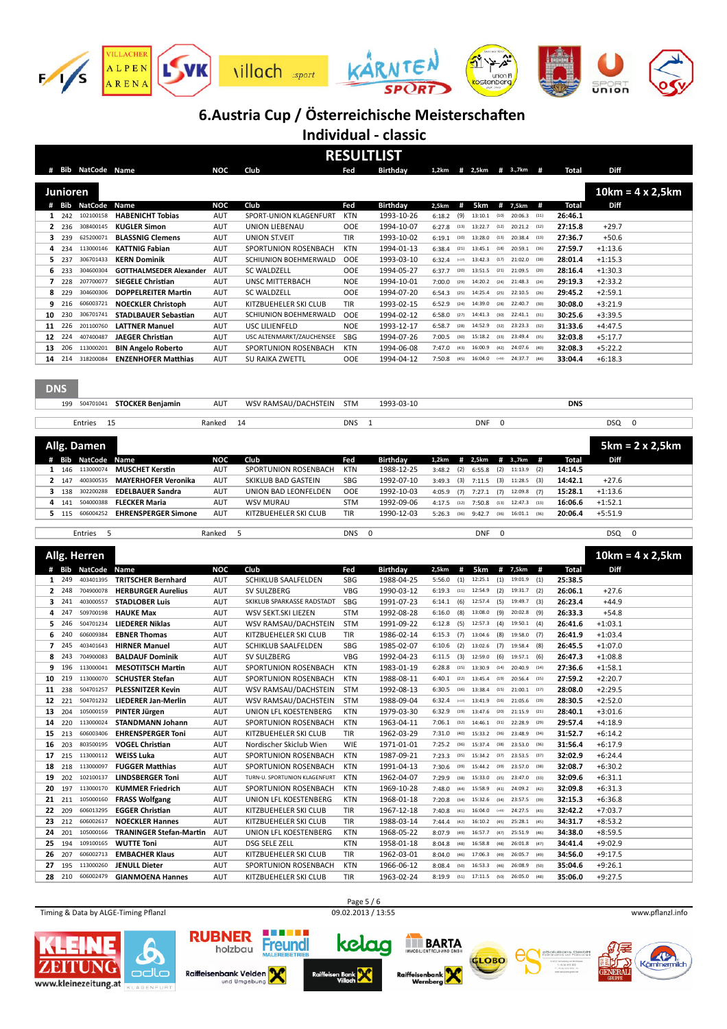

**Individual - classic**

| RI<br>Ш<br>тн<br>SI |  |
|---------------------|--|

|                |                  |                               |                                                 |            |                                               |                   | REJULI LIJI              |                                            |                    |             |                              |      |                    |                        |                         |
|----------------|------------------|-------------------------------|-------------------------------------------------|------------|-----------------------------------------------|-------------------|--------------------------|--------------------------------------------|--------------------|-------------|------------------------------|------|--------------------|------------------------|-------------------------|
|                |                  | # Bib NatCode Name            |                                                 | NOC        | Club                                          | Fed               | <b>Birthday</b>          | 1,2km                                      | # 2,5km # 3.,7km # |             |                              |      | Total              | Diff                   |                         |
|                |                  |                               |                                                 |            |                                               |                   |                          |                                            |                    |             |                              |      |                    |                        |                         |
|                | Junioren         |                               |                                                 |            |                                               |                   |                          |                                            |                    |             |                              |      |                    |                        | $10km = 4 \times 2,5km$ |
|                |                  | # Bib NatCode                 | Name                                            | <b>NOC</b> | Club                                          | Fed               | <b>Birthday</b>          | 2,5km<br>#                                 | 5km                | #           | 7,5km                        | #    | Total              | Diff                   |                         |
|                | 1 242            | 102100158                     | <b>HABENICHT Tobias</b>                         | AUT        | SPORT-UNION KLAGENFURT                        | <b>KTN</b>        | 1993-10-26               | (9)<br>6:18.2                              | 13:10.1            | (10)        | 20:06.3                      | (11) | 26:46.1            |                        |                         |
|                | 2 236            | 308400145                     | <b>KUGLER Simon</b>                             | AUT        | UNION LIEBENAU                                | OOE               | 1994-10-07               | 6:27.8<br>(13)                             | 13:22.7            | (12)        | $20:21.2$ (12)               |      | 27:15.8            | $+29.7$                |                         |
| 3              | 239              | 625200071                     | <b>BLASSNIG Clemens</b>                         | AUT        | UNION ST.VEIT                                 | TIR               | 1993-10-02               | 6:19.1<br>(10)                             | 13:28.0            | (13)        | 20:38.4                      | (13) | 27:36.7            | $+50.6$                |                         |
| 4              | 234              | 113000146                     | <b>KATTNIG Fabian</b>                           | <b>AUT</b> | SPORTUNION ROSENBACH                          | <b>KTN</b>        | 1994-01-13               | 6:38.4<br>(21)                             | 13:45.1            | (18)        | 20:59.1                      | (16) | 27:59.7            | $+1:13.6$              |                         |
| 5              | 237              | 306701433                     | <b>KERN Dominik</b>                             | AUT        | SCHIUNION BOEHMERWALD                         | OOE               | 1993-03-10               | 6:32.4<br>$(-17)$                          | 13:42.3            | (17)        | 21:02.0                      | (18) | 28:01.4            | $+1:15.3$              |                         |
| 6              | 233              | 304600304                     | <b>GOTTHALMSEDER Alexander</b>                  | AUT        | <b>SC WALDZELL</b>                            | OOE               | 1994-05-27               | 6:37.7<br>(20)                             | 13:51.5            | (21)        | 21:09.5                      | (20) | 28:16.4            | $+1:30.3$              |                         |
| $\overline{ }$ | 228              | 207700077                     | <b>SIEGELE Christian</b>                        | AUT        | UNSC MITTERBACH                               | <b>NOE</b>        | 1994-10-01               | 7:00.0<br>(29)                             | 14:20.2            | (24)        | 21:48.3                      | (24) | 29:19.3            | $+2:33.2$              |                         |
| 8              | 229              | 304600306                     | <b>DOPPELREITER Martin</b>                      | <b>AUT</b> | <b>SC WALDZELL</b>                            | OOE               | 1994-07-20               | 6:54.3<br>(25)                             | 14:25.4            | (25)        | 22:10.5                      | (26) | 29:45.2            | $+2:59.1$              |                         |
| 9              | 216              | 606003721                     | <b>NOECKLER Christoph</b>                       | <b>AUT</b> | KITZBUEHELER SKI CLUB                         | TIR               | 1993-02-15               | 6:52.9<br>(24)                             | 14:39.0            | (28)        | 22:40.7                      | (30) | 30:08.0            | $+3:21.9$              |                         |
| 10             | 230              | 306701741                     | <b>STADLBAUER Sebastian</b>                     | <b>AUT</b> | SCHIUNION BOEHMERWALD                         | OOE               | 1994-02-12               | 6:58.0<br>(27)                             | 14:41.3            | (30)        | 22:41.1                      | (31) | 30:25.6            | $+3:39.5$              |                         |
| 11             | 226              | 201100760                     | <b>LATTNER Manuel</b>                           | <b>AUT</b> | USC LILIENFELD                                | <b>NOE</b>        | 1993-12-17               | 6:58.7<br>(28)                             | 14:52.9            | (32)        | 23:23.3                      | (32) | 31:33.6            | $+4:47.5$              |                         |
| 12             | 224              | 407400487                     | <b>JAEGER Christian</b>                         | <b>AUT</b> | USC ALTENMARKT/ZAUCHENSEE                     | SBG               | 1994-07-26               | 7:00.5<br>(30)                             | 15:18.2            | (33)        | 23:49.4                      | (35) | 32:03.8            | $+5:17.7$              |                         |
| 13             | 206              | 113000201                     | <b>BIN Angelo Roberto</b>                       | <b>AUT</b> | SPORTUNION ROSENBACH                          | KTN               | 1994-06-08               | 7:47.0<br>(43)                             | 16:00.9            | (42)        | 24:07.6                      | (40) | 32:08.3            | $+5:22.2$              |                         |
| 14             | 214              | 318200084                     | <b>ENZENHOFER Matthias</b>                      | <b>AUT</b> | SU RAIKA ZWETTL                               | OOE               | 1994-04-12               | 7:50.8<br>(45)                             | 16:04.0            | $(-43)$     | 24:37.7                      | (44) | 33:04.4            | $+6:18.3$              |                         |
|                |                  |                               |                                                 |            |                                               |                   |                          |                                            |                    |             |                              |      |                    |                        |                         |
|                |                  |                               |                                                 |            |                                               |                   |                          |                                            |                    |             |                              |      |                    |                        |                         |
| <b>DNS</b>     |                  |                               |                                                 |            |                                               |                   |                          |                                            |                    |             |                              |      |                    |                        |                         |
|                |                  |                               |                                                 |            |                                               |                   |                          |                                            |                    |             |                              |      |                    |                        |                         |
|                | 199              |                               | 504701041 STOCKER Benjamin                      | <b>AUT</b> | WSV RAMSAU/DACHSTEIN                          | <b>STM</b>        | 1993-03-10               |                                            |                    |             |                              |      | <b>DNS</b>         |                        |                         |
|                |                  | Entries<br>15                 |                                                 | Ranked     | 14                                            | <b>DNS</b>        | $\mathbf{1}$             |                                            | <b>DNF</b>         | $\mathbf 0$ |                              |      |                    | DSQ                    | 0                       |
|                |                  |                               |                                                 |            |                                               |                   |                          |                                            |                    |             |                              |      |                    |                        |                         |
|                |                  | Allg. Damen                   |                                                 |            |                                               |                   |                          |                                            |                    |             |                              |      |                    |                        |                         |
|                |                  |                               |                                                 |            |                                               |                   |                          |                                            |                    |             |                              |      |                    |                        | $5km = 2 \times 2,5km$  |
|                | # Bib            | <b>NatCode</b>                | Name                                            | <b>NOC</b> | Club                                          | Fed               | <b>Birthday</b>          | 1,2km<br>#                                 | 2,5km              |             | # 3.,7km                     | #    | <b>Total</b>       | Diff                   |                         |
| $\mathbf{1}$   | 146              | 113000074                     | <b>MUSCHET Kerstin</b>                          | <b>AUT</b> | SPORTUNION ROSENBACH                          | <b>KTN</b>        | 1988-12-25               | 3:48.2<br>(2)                              | 6:55.8             | (2)         | 11:13.9                      | (2)  | 14:14.5            |                        |                         |
| $\overline{2}$ | 147              | 400300535                     | <b>MAYERHOFER Veronika</b>                      | <b>AUT</b> | <b>SKIKLUB BAD GASTEIN</b>                    | SBG               | 1992-07-10               | 3:49.3<br>(3)                              | 7:11.5             | (3)         | 11:28.5                      | (3)  | 14:42.1            | $+27.6$                |                         |
| 3              | 138              | 302200288                     | <b>EDELBAUER Sandra</b>                         | <b>AUT</b> | UNION BAD LEONFELDEN                          | <b>OOE</b>        | 1992-10-03               | 4:05.9<br>(7)                              | 7:27.1             | (7)         | 12:09.8                      | (7)  | 15:28.1            | $+1:13.6$              |                         |
| 4              | 141              | 504000388                     | <b>FLECKER Maria</b>                            | <b>AUT</b> | <b>WSV MURAU</b>                              | <b>STM</b>        | 1992-09-06               | 4:17.5<br>(12)                             | 7:50.8             | (13)        | 12:47.3                      | (13) | 16:06.6            | $+1:52.1$              |                         |
|                | 5 115            | 606004252                     | <b>EHRENSPERGER Simone</b>                      | <b>AUT</b> | KITZBUEHELER SKI CLUB                         | TIR               | 1990-12-03               | 5:26.3<br>(36)                             | 9:42.7             | (36)        | 16:01.1                      | (36) | 20:06.4            | $+5:51.9$              |                         |
|                |                  |                               |                                                 |            |                                               |                   |                          |                                            |                    |             |                              |      |                    |                        |                         |
|                |                  |                               |                                                 |            |                                               |                   |                          |                                            |                    |             |                              |      |                    |                        |                         |
|                |                  | 5<br>Entries                  |                                                 | Ranked     | 5                                             | <b>DNS</b>        | 0                        |                                            | <b>DNF</b>         | 0           |                              |      |                    | DSQ                    | 0                       |
|                |                  |                               |                                                 |            |                                               |                   |                          |                                            |                    |             |                              |      |                    |                        |                         |
|                |                  | Allg. Herren                  |                                                 |            |                                               |                   |                          |                                            |                    |             |                              |      |                    |                        | $10km = 4 \times 2,5km$ |
|                | # Bib            | <b>NatCode</b>                | Name                                            | <b>NOC</b> | Club                                          | Fed               | <b>Birthday</b>          | 2,5km<br>#                                 | 5km                | #           | 7,5km                        | #    | Total              | Diff                   |                         |
| 1              | 249              | 403401395                     | <b>TRITSCHER Bernhard</b>                       | <b>AUT</b> | <b>SCHIKLUB SAALFELDEN</b>                    | <b>SBG</b>        | 1988-04-25               | (1)<br>5:56.0                              | 12:25.1            | (1)         | 19:01.9                      | (1)  | 25:38.5            |                        |                         |
| $\mathbf{2}$   | 248              | 704900078                     | <b>HERBURGER Aurelius</b>                       | <b>AUT</b> | SV SULZBERG                                   | <b>VBG</b>        | 1990-03-12               | 6:19.3<br>(11)                             | 12:54.9            | (2)         | 19:31.7                      | (2)  | 26:06.1            | $+27.6$                |                         |
| 3              | 241              | 403000557                     | <b>STADLOBER Luis</b>                           | <b>AUT</b> | SKIKLUB SPARKASSE RADSTADT                    | SBG               | 1991-07-23               | 6:14.1<br>(6)                              | 12:57.4            | (5)         | 19:49.7                      | (3)  | 26:23.4            | $+44.9$                |                         |
| 4              | 247              | 509700198                     | <b>HAUKE Max</b>                                | <b>AUT</b> | WSV SEKT.SKI LIEZEN                           | <b>STM</b>        | 1992-08-28               | 6:16.0<br>(8)                              | 13:08.0            | (9)         | 20:02.8                      | (9)  | 26:33.3            | $+54.8$                |                         |
| 5              | 246              | 504701234                     | <b>LIEDERER Niklas</b>                          | <b>AUT</b> | WSV RAMSAU/DACHSTEIN                          | <b>STM</b>        | 1991-09-22               | 6:12.8<br>(5)                              | 12:57.3            | (4)         | 19:50.1                      | (4)  | 26:41.6            | $+1:03.1$              |                         |
| 6              | 240              | 606009384                     | <b>EBNER Thomas</b>                             | <b>AUT</b> | KITZBUEHELER SKI CLUB                         | TIR               | 1986-02-14               | 6:15.3<br>(7)                              | 13:04.6            | (8)         | 19:58.0                      | (7)  | 26:41.9            | $+1:03.4$              |                         |
| $\overline{7}$ | 245              | 403401643                     | <b>HIRNER Manuel</b>                            | <b>AUT</b> | SCHIKLUB SAALFELDEN                           | SBG               | 1985-02-07               | (2)<br>6:10.6                              | 13:02.6            | (7)         | 19:58.4                      | (8)  | 26:45.5            | $+1:07.0$              |                         |
| 8              | 243              | 704900083                     | <b>BALDAUF Dominik</b>                          | <b>AUT</b> | SV SULZBERG                                   | <b>VBG</b>        | 1992-04-23               | (3)<br>6:11.5                              | 12:59.0            | (6)         | 19:57.1                      | (6)  | 26:47.3            | $+1:08.8$              |                         |
| 9              | 196              | 113000041                     | <b>MESOTITSCH Martin</b>                        | AUT        | SPORTUNION ROSENBACH                          | KTN               | 1983-01-19               | 6:28.8<br>(15)                             | 13:30.9            | (14)        | 20:40.9                      | (14) | 27:36.6            | $+1:58.1$              |                         |
| 10             | 219              | 113000070                     | <b>SCHUSTER Stefan</b>                          | AUT        | SPORTUNION ROSENBACH                          | KTN               | 1988-08-11               | 6:40.1<br>(22)                             | 13:45.4            | (19)        | 20:56.4                      | (15  | 27:59.2            | $+2:20.7$              |                         |
| 11             | 238              | 504701257                     | <b>PLESSNITZER Kevin</b>                        | <b>AUT</b> | WSV RAMSAU/DACHSTEIN                          | <b>STM</b>        | 1992-08-13               | 6:30.5<br>(16)                             | 13:38.4            | (15)        | $21:00.1$ (17)               |      | 28:08.0            | $+2:29.5$              |                         |
| 12             | 221              | 504701232                     |                                                 | AUT        |                                               | <b>STM</b>        | 1988-09-04               | 6:32.4<br>$(-17)$                          | 13:41.9            | (16)        | 21:05.6                      | (19) | 28:30.5            |                        |                         |
|                |                  |                               | <b>LIEDERER Jan-Merlin</b>                      |            | WSV RAMSAU/DACHSTEIN                          |                   |                          | $6:32.9$ (19)                              | 13:47.6            | (20)        | $21:15.9$ (21)               |      |                    | $+2:52.0$              |                         |
|                |                  | 13 204 105000159<br>113000024 | PINTER Jürgen                                   | AUT        | UNION LFL KOESTENBERG                         | KTN               | 1979-03-30               | (32)                                       | 14:46.1            | (31)        | 22:28.9                      | (29) | 28:40.1            | $+3:01.6$              |                         |
|                | 14 220           |                               | <b>STANDMANN Johann</b>                         | AUT        | SPORTUNION ROSENBACH                          | KTN               | 1963-04-11               | 7:06.1<br>$7:31.0$ (40)                    | 15:33.2            | (36)        |                              |      | 29:57.4            | $+4:18.9$              |                         |
|                | 15 213           | 606003406                     | <b>EHRENSPERGER Toni</b>                        | AUT        | KITZBUEHELER SKI CLUB                         | TIR               | 1962-03-29               |                                            |                    |             | 23:48.9 (34)                 |      | 31:52.7            | $+6:14.2$              |                         |
|                | 16 203           | 803500195                     | <b>VOGEL Christian</b>                          | AUT        | Nordischer Skiclub Wien                       | <b>WIE</b>        | 1971-01-01               | 7:25.2 (36)                                | 15:37.4            | (38)        | 23:53.0 (36)                 |      | 31:56.4            | $+6:17.9$              |                         |
|                | 17 215           | 113000112                     | <b>WEISS Luka</b>                               | AUT        | SPORTUNION ROSENBACH                          | <b>KTN</b>        | 1987-09-21               | $7:23.3$ (35)                              | 15:34.2            | (37)        | 23:53.5 (37)                 |      | 32:02.9            | $+6:24.4$              |                         |
|                | 18 218           | 113000097                     | <b>FUGGER Matthias</b>                          | AUT        | SPORTUNION ROSENBACH                          | <b>KTN</b>        | 1991-04-13               | 7:30.6 (39)                                | 15:44.2            | (39)        | 23:57.0 (38)                 |      | 32:08.7            | $+6:30.2$              |                         |
|                | 19 202           | 102100137                     | <b>LINDSBERGER Toni</b>                         | AUT        | TURN-U. SPORTUNION KLAGENFURT                 | <b>KTN</b>        | 1962-04-07               | 7:29.9 (38)                                | 15:33.0            | (35)        | 23:47.0 (33)                 |      | 32:09.6            | $+6:31.1$              |                         |
|                | 20 197           | 113000170                     | <b>KUMMER Friedrich</b>                         | AUT        | SPORTUNION ROSENBACH                          | KTN               | 1969-10-28               | $7:48.0$ (44)                              | 15:58.9            | (41)        | 24:09.2 (42)                 |      | 32:09.8            | $+6:31.3$              |                         |
|                | 21 211           | 105000160                     | <b>FRASS Wolfgang</b>                           | AUT        | UNION LFL KOESTENBERG                         | <b>KTN</b>        | 1968-01-18               | $7:20.8$ (34)                              | 15:32.6            | (34)        | 23:57.5 (39)                 |      | 32:15.3            | $+6:36.8$              |                         |
|                | 22 209           | 606013295                     | <b>EGGER Christian</b>                          | AUT        | KITZBUEHELER SKI CLUB                         | TIR               | 1967-12-18               | $7:40.8$ (41)                              | 16:04.0            | $(-43)$     | 24:27.5 (43)                 |      | 32:42.2            | $+7:03.7$              |                         |
|                | 23 212           | 606002617                     | <b>NOECKLER Hannes</b>                          | AUT        | KITZBUEHELER SKI CLUB                         | TIR               | 1988-03-14               | $7:44.4$ (42)                              | 16:10.2            | (45)        | 25:28.1 (45)                 |      | 34:31.7            | $+8:53.2$              |                         |
|                | 24 201           | 105000166                     | <b>TRANINGER Stefan-Martin</b>                  | AUT        | UNION LFL KOESTENBERG                         | KTN               | 1968-05-22               | $8:07.9$ (49)                              | 16:57.7            | (47)        | 25:51.9 (46)                 |      | 34:38.0            | $+8:59.5$              |                         |
|                | 25 194           | 109100165                     | <b>WUTTE Toni</b>                               | AUT        | DSG SELE ZELL                                 | <b>KTN</b>        | 1958-01-18               | $8:04.8$ (48)                              | 16:58.8            | (48)        | $26:01.8$ (47)               |      | 34:41.4            | $+9:02.9$              |                         |
| 26             | 207              | 606002713                     | <b>EMBACHER Klaus</b>                           | AUT        | KITZBUEHELER SKI CLUB                         | TIR               | 1962-03-01               | $8:04.0$ (46)                              | 17:06.3            | (49)        | 26:05.7 (49)                 |      | 34:56.0            | $+9:17.5$              |                         |
|                | 27 195<br>28 210 | 113000260<br>606002479        | <b>JENULL Dieter</b><br><b>GIANMOENA Hannes</b> | AUT<br>AUT | SPORTUNION ROSENBACH<br>KITZBUEHELER SKI CLUB | <b>KTN</b><br>TIR | 1966-06-12<br>1963-02-24 | 8:08.4<br>(50)<br>8:19.9 (51) 17:11.5 (50) | 16:53.3            | (46)        | 26:08.9 (50)<br>26:05.0 (48) |      | 35:04.6<br>35:06.0 | $+9:26.1$<br>$+9:27.5$ |                         |

Timing & Data by ALGE-Timing Pflanzl **Exercise 20.02.2013** / 13:55 www.pflanzl.info



kelaa





Raiffeisenbank Velden n Bank

Freundl

**NE BARTA** Raiffeise